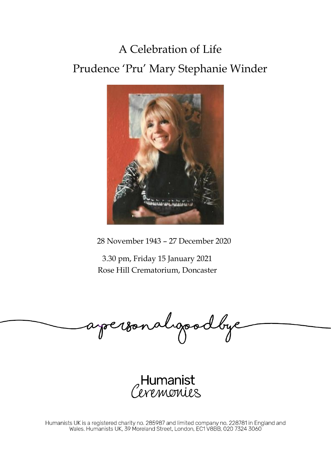## A Celebration of Life Prudence 'Pru' Mary Stephanie Winder



28 November 1943 – 27 December 2020

3.30 pm, Friday 15 January 2021 Rose Hill Crematorium, Doncaster

apersonalgoodbye

Humanist<br>*Livemonie*s

Humanists UK is a registered charity no. 285987 and limited company no. 228781 in England and<br>Wales. Humanists UK, 39 Moreland Street, London, EC1 V8BB, 020 7324 3060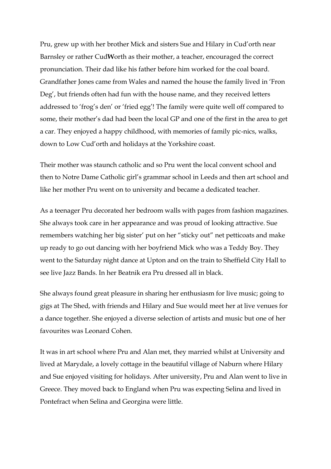Pru, grew up with her brother Mick and sisters Sue and Hilary in Cud'orth near Barnsley or rather Cud**W**orth as their mother, a teacher, encouraged the correct pronunciation. Their dad like his father before him worked for the coal board. Grandfather Jones came from Wales and named the house the family lived in 'Fron Deg', but friends often had fun with the house name, and they received letters addressed to 'frog's den' or 'fried egg'! The family were quite well off compared to some, their mother's dad had been the local GP and one of the first in the area to get a car. They enjoyed a happy childhood, with memories of family pic-nics, walks, down to Low Cud'orth and holidays at the Yorkshire coast.

Their mother was staunch catholic and so Pru went the local convent school and then to Notre Dame Catholic girl's grammar school in Leeds and then art school and like her mother Pru went on to university and became a dedicated teacher.

As a teenager Pru decorated her bedroom walls with pages from fashion magazines. She always took care in her appearance and was proud of looking attractive. Sue remembers watching her big sister' put on her "sticky out" net petticoats and make up ready to go out dancing with her boyfriend Mick who was a Teddy Boy. They went to the Saturday night dance at Upton and on the train to Sheffield City Hall to see live Jazz Bands. In her Beatnik era Pru dressed all in black.

She always found great pleasure in sharing her enthusiasm for live music; going to gigs at The Shed, with friends and Hilary and Sue would meet her at live venues for a dance together. She enjoyed a diverse selection of artists and music but one of her favourites was Leonard Cohen.

It was in art school where Pru and Alan met, they married whilst at University and lived at Marydale, a lovely cottage in the beautiful village of Naburn where Hilary and Sue enjoyed visiting for holidays. After university, Pru and Alan went to live in Greece. They moved back to England when Pru was expecting Selina and lived in Pontefract when Selina and Georgina were little.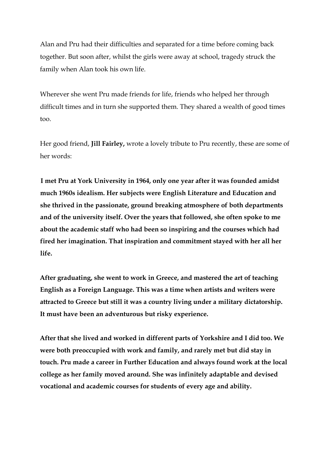Alan and Pru had their difficulties and separated for a time before coming back together. But soon after, whilst the girls were away at school, tragedy struck the family when Alan took his own life.

Wherever she went Pru made friends for life, friends who helped her through difficult times and in turn she supported them. They shared a wealth of good times too.

Her good friend, **Jill Fairley,** wrote a lovely tribute to Pru recently, these are some of her words:

**I met Pru at York University in 1964, only one year after it was founded amidst much 1960s idealism. Her subjects were English Literature and Education and she thrived in the passionate, ground breaking atmosphere of both departments and of the university itself. Over the years that followed, she often spoke to me about the academic staff who had been so inspiring and the courses which had fired her imagination. That inspiration and commitment stayed with her all her life.**

**After graduating, she went to work in Greece, and mastered the art of teaching English as a Foreign Language. This was a time when artists and writers were attracted to Greece but still it was a country living under a military dictatorship. It must have been an adventurous but risky experience.**

**After that she lived and worked in different parts of Yorkshire and I did too. We were both preoccupied with work and family, and rarely met but did stay in touch. Pru made a career in Further Education and always found work at the local college as her family moved around. She was infinitely adaptable and devised vocational and academic courses for students of every age and ability.**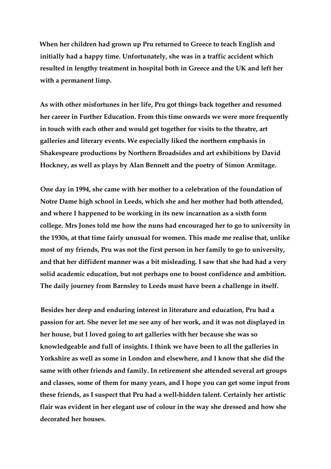**When her children had grown up Pru returned to Greece to teach English and initially had a happy time. Unfortunately, she was in a traffic accident which resulted in lengthy treatment in hospital both in Greece and the UK and left her with a permanent limp.**

**As with other misfortunes in her life, Pru got things back together and resumed her career in Further Education. From this time onwards we were more frequently in touch with each other and would get together for visits to the theatre, art galleries and literary events. We especially liked the northern emphasis in Shakespeare productions by Northern Broadsides and art exhibitions by David Hockney, as well as plays by Alan Bennett and the poetry of Simon Armitage.**

**One day in 1994, she came with her mother to a celebration of the foundation of Notre Dame high school in Leeds, which she and her mother had both attended, and where I happened to be working in its new incarnation as a sixth form college. Mrs Jones told me how the nuns had encouraged her to go to university in the 1930s, at that time fairly unusual for women. This made me realise that, unlike most of my friends, Pru was not the first person in her family to go to university, and that her diffident manner was a bit misleading. I saw that she had had a very solid academic education, but not perhaps one to boost confidence and ambition. The daily journey from Barnsley to Leeds must have been a challenge in itself.**

**Besides her deep and enduring interest in literature and education, Pru had a passion for art. She never let me see any of her work, and it was not displayed in her house, but I loved going to art galleries with her because she was so knowledgeable and full of insights. I think we have been to all the galleries in Yorkshire as well as some in London and elsewhere, and I know that she did the same with other friends and family. In retirement she attended several art groups and classes, some of them for many years, and I hope you can get some input from these friends, as I suspect that Pru had a well-hidden talent. Certainly her artistic flair was evident in her elegant use of colour in the way she dressed and how she decorated her houses.**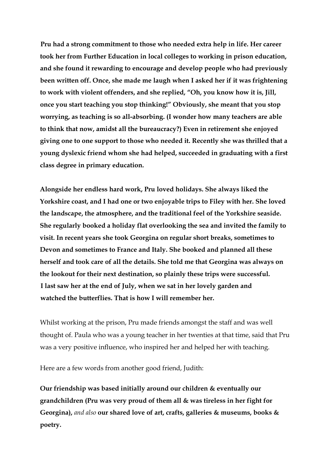**Pru had a strong commitment to those who needed extra help in life. Her career took her from Further Education in local colleges to working in prison education, and she found it rewarding to encourage and develop people who had previously been written off. Once, she made me laugh when I asked her if it was frightening to work with violent offenders, and she replied, "Oh, you know how it is, Jill, once you start teaching you stop thinking!" Obviously, she meant that you stop worrying, as teaching is so all-absorbing. (I wonder how many teachers are able to think that now, amidst all the bureaucracy?) Even in retirement she enjoyed giving one to one support to those who needed it. Recently she was thrilled that a young dyslexic friend whom she had helped, succeeded in graduating with a first class degree in primary education.**

**Alongside her endless hard work, Pru loved holidays. She always liked the Yorkshire coast, and I had one or two enjoyable trips to Filey with her. She loved the landscape, the atmosphere, and the traditional feel of the Yorkshire seaside. She regularly booked a holiday flat overlooking the sea and invited the family to visit. In recent years she took Georgina on regular short breaks, sometimes to Devon and sometimes to France and Italy. She booked and planned all these herself and took care of all the details. She told me that Georgina was always on the lookout for their next destination, so plainly these trips were successful. I last saw her at the end of July, when we sat in her lovely garden and watched the butterflies. That is how I will remember her.**

Whilst working at the prison, Pru made friends amongst the staff and was well thought of. Paula who was a young teacher in her twenties at that time, said that Pru was a very positive influence, who inspired her and helped her with teaching.

Here are a few words from another good friend, Judith:

**Our friendship was based initially around our children & eventually our grandchildren (Pru was very proud of them all & was tireless in her fight for Georgina),** *and also* **our shared love of art, crafts, galleries & museums, books & poetry.**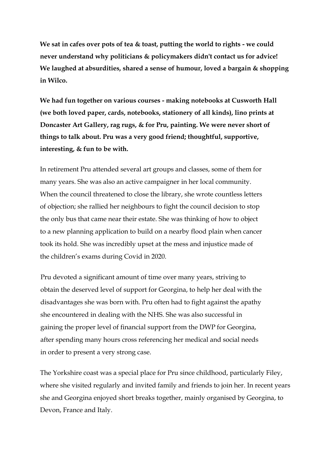**We sat in cafes over pots of tea & toast, putting the world to rights - we could never understand why politicians & policymakers didn't contact us for advice! We laughed at absurdities, shared a sense of humour, loved a bargain & shopping in Wilco.** 

**We had fun together on various courses - making notebooks at Cusworth Hall (we both loved paper, cards, notebooks, stationery of all kinds), lino prints at Doncaster Art Gallery, rag rugs, & for Pru, painting. We were never short of things to talk about. Pru was a very good friend; thoughtful, supportive, interesting, & fun to be with.**

In retirement Pru attended several art groups and classes, some of them for many years. She was also an active campaigner in her local community. When the council threatened to close the library, she wrote countless letters of objection; she rallied her neighbours to fight the council decision to stop the only bus that came near their estate. She was thinking of how to object to a new planning application to build on a nearby flood plain when cancer took its hold. She was incredibly upset at the mess and injustice made of the children's exams during Covid in 2020.

Pru devoted a significant amount of time over many years, striving to obtain the deserved level of support for Georgina, to help her deal with the disadvantages she was born with. Pru often had to fight against the apathy she encountered in dealing with the NHS. She was also successful in gaining the proper level of financial support from the DWP for Georgina, after spending many hours cross referencing her medical and social needs in order to present a very strong case.

The Yorkshire coast was a special place for Pru since childhood, particularly Filey, where she visited regularly and invited family and friends to join her. In recent years she and Georgina enjoyed short breaks together, mainly organised by Georgina, to Devon, France and Italy.